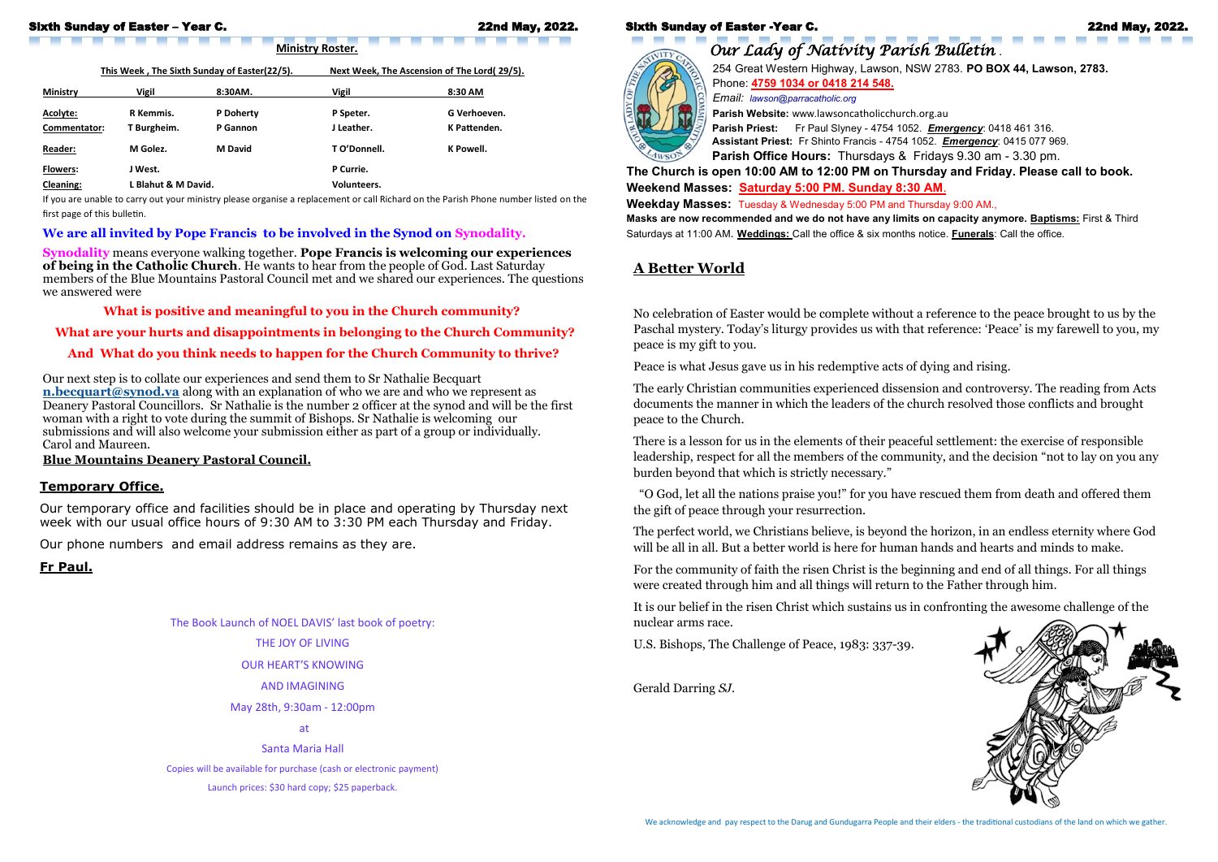### Sixth Sunday of Easter -Year C. 22nd May, 2022.



*Our Lady of Nativity Parish Bulletin* . 254 Great Western Highway, Lawson, NSW 2783. **PO BOX 44, Lawson, 2783.** Phone: **4759 1034 or 0418 214 548.**  *Email: lawson@parracatholic.org*

**Parish Website:** www.lawsoncatholicchurch.org.au

**Parish Priest:** Fr Paul Slyney - 4754 1052. *Emergency*: 0418 461 316. **Assistant Priest:** Fr Shinto Francis - 4754 1052. *Emergency*: 0415 077 969. **Parish Office Hours:** Thursdays & Fridays 9.30 am - 3.30 pm. **The Church is open 10:00 AM to 12:00 PM on Thursday and Friday. Please call to book. Weekend Masses: Saturday 5:00 PM. Sunday 8:30 AM**. **Weekday Masses:** Tuesday & Wednesday 5:00 PM and Thursday 9:00 AM., **Masks are now recommended and we do not have any limits on capacity anymore. Baptisms:** First & Third Saturdays at 11:00 AM. **Weddings:** Call the office & six months notice. **Funerals**: Call the office.



#### Sixth Sunday of Easter – Year C. 22nd May, 2022.

This Week, The Sixth Sunday of Easter(22/5). Next Week, The Ascension of The Lord( 29/5).

**Ministry Roster.** 

| <b>Ministry</b>  | <b>Vigil</b>        | 8:30AM.          | <b>Vigil</b>       | 8:30 AM      |
|------------------|---------------------|------------------|--------------------|--------------|
| Acolyte:         | R Kemmis.           | <b>P</b> Doherty | P Speter.          | G Verhoeven. |
| Commentator:     | T Burgheim.         | P Gannon         | J Leather.         | K Pattenden. |
| <b>Reader:</b>   | M Golez.            | <b>M</b> David   | T O'Donnell.       | K Powell.    |
| <b>Flowers:</b>  | J West.             |                  | P Currie.          |              |
| <b>Cleaning:</b> | L Blahut & M David. |                  | <b>Volunteers.</b> |              |

If you are unable to carry out your ministry please organise a replacement or call Richard on the Parish Phone number listed on the first page of this bulletin.

#### **We are all invited by Pope Francis to be involved in the Synod on Synodality.**

**Synodality** means everyone walking together. **Pope Francis is welcoming our experiences of being in the Catholic Church**. He wants to hear from the people of God. Last Saturday members of the Blue Mountains Pastoral Council met and we shared our experiences. The questions we answered were

**What is positive and meaningful to you in the Church community?**

**What are your hurts and disappointments in belonging to the Church Community?**

#### **And What do you think needs to happen for the Church Community to thrive?**

Our next step is to collate our experiences and send them to Sr Nathalie Becquart **[n.becquart@synod.va](mailto:n.becquart@synod.va)** along with an explanation of who we are and who we represent as Deanery Pastoral Councillors. Sr Nathalie is the number 2 officer at the synod and will be the first woman with a right to vote during the summit of Bishops. Sr Nathalie is welcoming our submissions and will also welcome your submission either as part of a group or individually. Carol and Maureen.

#### **Blue Mountains Deanery Pastoral Council.**

#### **Temporary Office.**

Our temporary office and facilities should be in place and operating by Thursday next week with our usual office hours of 9:30 AM to 3:30 PM each Thursday and Friday.

Our phone numbers and email address remains as they are.

**Fr Paul.**

The Book Launch of NOEL DAVIS' last book of poetry:

THE JOY OF LIVING

OUR HEART'S KNOWING

AND IMAGINING

May 28th, 9:30am - 12:00pm

at

Santa Maria Hall

Copies will be available for purchase (cash or electronic payment)

Launch prices: \$30 hard copy; \$25 paperback.

# **A Better World**

No celebration of Easter would be complete without a reference to the peace brought to us by the Paschal mystery. Today's liturgy provides us with that reference: 'Peace' is my farewell to you, my peace is my gift to you.

Peace is what Jesus gave us in his redemptive acts of dying and rising.

The early Christian communities experienced dissension and controversy. The reading from Acts documents the manner in which the leaders of the church resolved those conflicts and brought peace to the Church.

There is a lesson for us in the elements of their peaceful settlement: the exercise of responsible leadership, respect for all the members of the community, and the decision "not to lay on you any burden beyond that which is strictly necessary."

 "O God, let all the nations praise you!" for you have rescued them from death and offered them the gift of peace through your resurrection.

The perfect world, we Christians believe, is beyond the horizon, in an endless eternity where God will be all in all. But a better world is here for human hands and hearts and minds to make.

For the community of faith the risen Christ is the beginning and end of all things. For all things were created through him and all things will return to the Father through him.

It is our belief in the risen Christ which sustains us in confronting the awesome challenge of the nuclear arms race.

U.S. Bishops, The Challenge of Peace, 1983: 337-39.

Gerald Darring *SJ*.